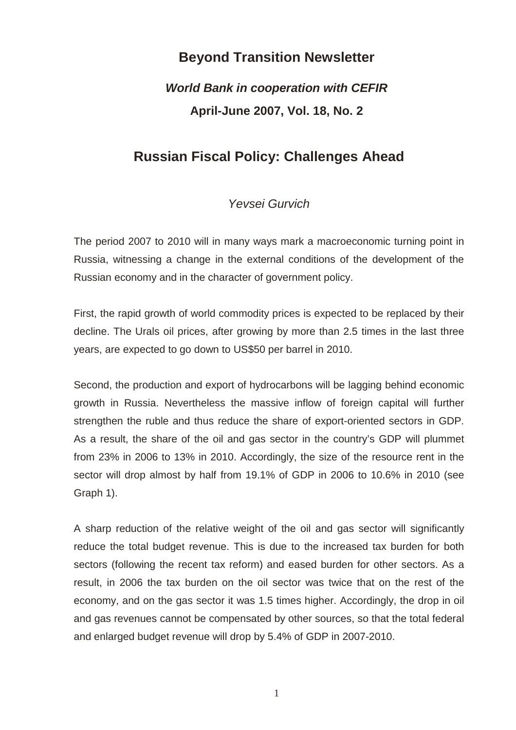# **Beyond Transition Newsletter**

# *World Bank in cooperation with CEFIR*  **April-June 2007, Vol. 18, No. 2**

# **Russian Fiscal Policy: Challenges Ahead**

## *Yevsei Gurvich*

The period 2007 to 2010 will in many ways mark a macroeconomic turning point in Russia, witnessing a change in the external conditions of the development of the Russian economy and in the character of government policy.

First, the rapid growth of world commodity prices is expected to be replaced by their decline. The Urals oil prices, after growing by more than 2.5 times in the last three years, are expected to go down to US\$50 per barrel in 2010.

Second, the production and export of hydrocarbons will be lagging behind economic growth in Russia. Nevertheless the massive inflow of foreign capital will further strengthen the ruble and thus reduce the share of export-oriented sectors in GDP. As a result, the share of the oil and gas sector in the country's GDP will plummet from 23% in 2006 to 13% in 2010. Accordingly, the size of the resource rent in the sector will drop almost by half from 19.1% of GDP in 2006 to 10.6% in 2010 (see Graph 1).

A sharp reduction of the relative weight of the oil and gas sector will significantly reduce the total budget revenue. This is due to the increased tax burden for both sectors (following the recent tax reform) and eased burden for other sectors. As a result, in 2006 the tax burden on the oil sector was twice that on the rest of the economy, and on the gas sector it was 1.5 times higher. Accordingly, the drop in oil and gas revenues cannot be compensated by other sources, so that the total federal and enlarged budget revenue will drop by 5.4% of GDP in 2007-2010.

1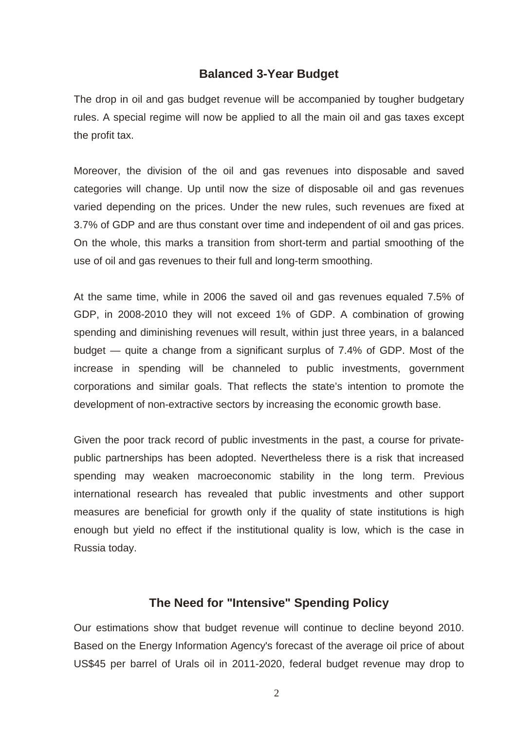### **Balanced 3-Year Budget**

The drop in oil and gas budget revenue will be accompanied by tougher budgetary rules. A special regime will now be applied to all the main oil and gas taxes except the profit tax.

Moreover, the division of the oil and gas revenues into disposable and saved categories will change. Up until now the size of disposable oil and gas revenues varied depending on the prices. Under the new rules, such revenues are fixed at 3.7% of GDP and are thus constant over time and independent of oil and gas prices. On the whole, this marks a transition from short-term and partial smoothing of the use of oil and gas revenues to their full and long-term smoothing.

At the same time, while in 2006 the saved oil and gas revenues equaled 7.5% of GDP, in 2008-2010 they will not exceed 1% of GDP. A combination of growing spending and diminishing revenues will result, within just three years, in a balanced budget — quite a change from a significant surplus of 7.4% of GDP. Most of the increase in spending will be channeled to public investments, government corporations and similar goals. That reflects the state's intention to promote the development of non-extractive sectors by increasing the economic growth base.

Given the poor track record of public investments in the past, a course for privatepublic partnerships has been adopted. Nevertheless there is a risk that increased spending may weaken macroeconomic stability in the long term. Previous international research has revealed that public investments and other support measures are beneficial for growth only if the quality of state institutions is high enough but yield no effect if the institutional quality is low, which is the case in Russia today.

### **The Need for "Intensive" Spending Policy**

Our estimations show that budget revenue will continue to decline beyond 2010. Based on the Energy Information Agency's forecast of the average oil price of about US\$45 per barrel of Urals oil in 2011-2020, federal budget revenue may drop to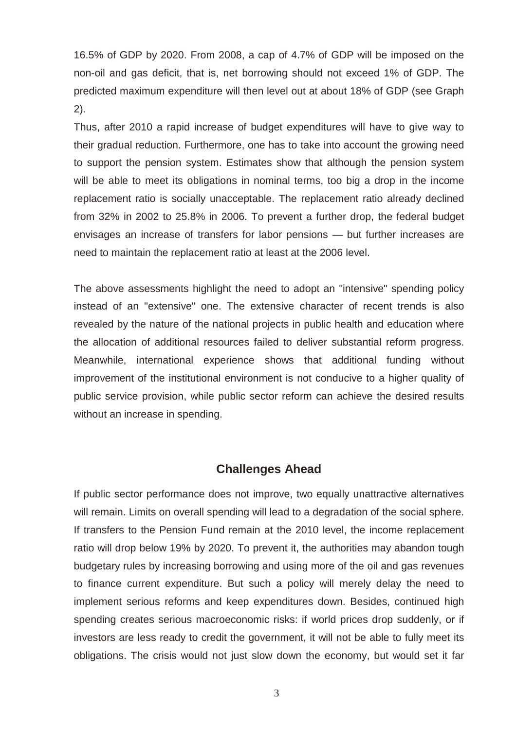16.5% of GDP by 2020. From 2008, a cap of 4.7% of GDP will be imposed on the non-oil and gas deficit, that is, net borrowing should not exceed 1% of GDP. The predicted maximum expenditure will then level out at about 18% of GDP (see Graph 2).

Thus, after 2010 a rapid increase of budget expenditures will have to give way to their gradual reduction. Furthermore, one has to take into account the growing need to support the pension system. Estimates show that although the pension system will be able to meet its obligations in nominal terms, too big a drop in the income replacement ratio is socially unacceptable. The replacement ratio already declined from 32% in 2002 to 25.8% in 2006. To prevent a further drop, the federal budget envisages an increase of transfers for labor pensions — but further increases are need to maintain the replacement ratio at least at the 2006 level.

The above assessments highlight the need to adopt an "intensive" spending policy instead of an "extensive" one. The extensive character of recent trends is also revealed by the nature of the national projects in public health and education where the allocation of additional resources failed to deliver substantial reform progress. Meanwhile, international experience shows that additional funding without improvement of the institutional environment is not conducive to a higher quality of public service provision, while public sector reform can achieve the desired results without an increase in spending.

#### **Challenges Ahead**

If public sector performance does not improve, two equally unattractive alternatives will remain. Limits on overall spending will lead to a degradation of the social sphere. If transfers to the Pension Fund remain at the 2010 level, the income replacement ratio will drop below 19% by 2020. To prevent it, the authorities may abandon tough budgetary rules by increasing borrowing and using more of the oil and gas revenues to finance current expenditure. But such a policy will merely delay the need to implement serious reforms and keep expenditures down. Besides, continued high spending creates serious macroeconomic risks: if world prices drop suddenly, or if investors are less ready to credit the government, it will not be able to fully meet its obligations. The crisis would not just slow down the economy, but would set it far

3